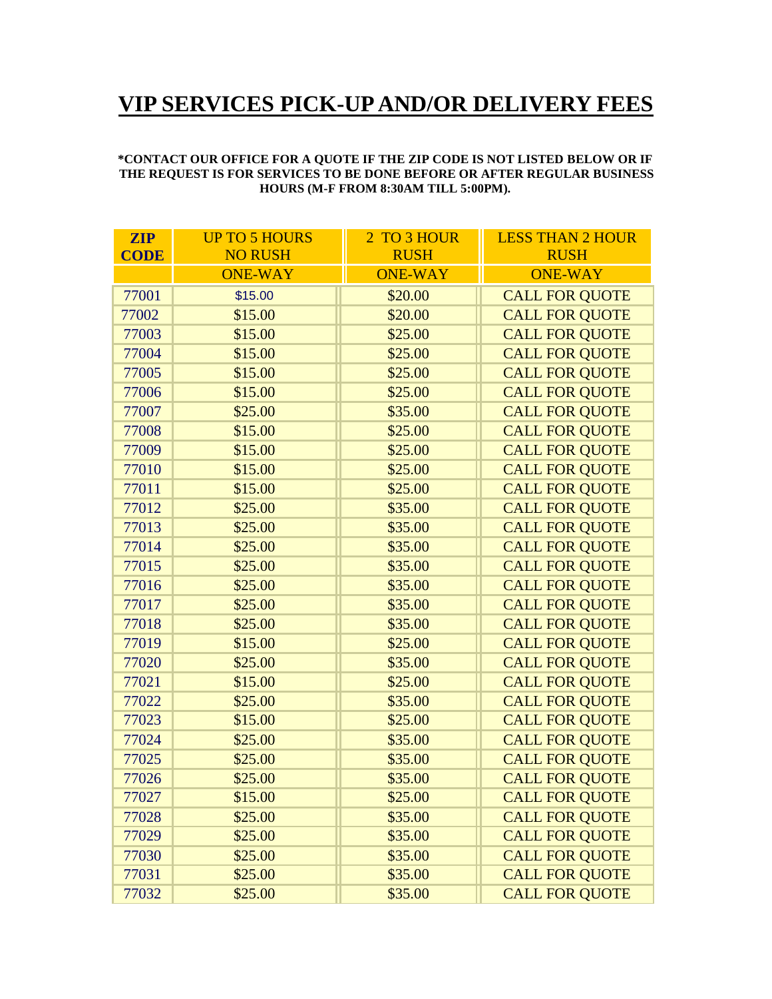## **VIP SERVICES PICK-UP AND/OR DELIVERY FEES**

## **\*CONTACT OUR OFFICE FOR A QUOTE IF THE ZIP CODE IS NOT LISTED BELOW OR IF THE REQUEST IS FOR SERVICES TO BE DONE BEFORE OR AFTER REGULAR BUSINESS HOURS (M-F FROM 8:30AM TILL 5:00PM).**

| <b>ZIP</b>  | <b>UP TO 5 HOURS</b> | 2 TO 3 HOUR    | <b>LESS THAN 2 HOUR</b> |
|-------------|----------------------|----------------|-------------------------|
| <b>CODE</b> | <b>NO RUSH</b>       | <b>RUSH</b>    | <b>RUSH</b>             |
|             | <b>ONE-WAY</b>       | <b>ONE-WAY</b> | <b>ONE-WAY</b>          |
| 77001       | \$15.00              | \$20.00        | <b>CALL FOR QUOTE</b>   |
| 77002       | \$15.00              | \$20.00        | <b>CALL FOR QUOTE</b>   |
| 77003       | \$15.00              | \$25.00        | <b>CALL FOR QUOTE</b>   |
| 77004       | \$15.00              | \$25.00        | <b>CALL FOR QUOTE</b>   |
| 77005       | \$15.00              | \$25.00        | <b>CALL FOR QUOTE</b>   |
| 77006       | \$15.00              | \$25.00        | <b>CALL FOR QUOTE</b>   |
| 77007       | \$25.00              | \$35.00        | <b>CALL FOR QUOTE</b>   |
| 77008       | \$15.00              | \$25.00        | <b>CALL FOR QUOTE</b>   |
| 77009       | \$15.00              | \$25.00        | <b>CALL FOR QUOTE</b>   |
| 77010       | \$15.00              | \$25.00        | <b>CALL FOR QUOTE</b>   |
| 77011       | \$15.00              | \$25.00        | <b>CALL FOR QUOTE</b>   |
| 77012       | \$25.00              | \$35.00        | <b>CALL FOR QUOTE</b>   |
| 77013       | \$25.00              | \$35.00        | <b>CALL FOR QUOTE</b>   |
| 77014       | \$25.00              | \$35.00        | <b>CALL FOR QUOTE</b>   |
| 77015       | \$25.00              | \$35.00        | <b>CALL FOR QUOTE</b>   |
| 77016       | \$25.00              | \$35.00        | <b>CALL FOR QUOTE</b>   |
| 77017       | \$25.00              | \$35.00        | <b>CALL FOR QUOTE</b>   |
| 77018       | \$25.00              | \$35.00        | <b>CALL FOR QUOTE</b>   |
| 77019       | \$15.00              | \$25.00        | <b>CALL FOR QUOTE</b>   |
| 77020       | \$25.00              | \$35.00        | <b>CALL FOR QUOTE</b>   |
| 77021       | \$15.00              | \$25.00        | <b>CALL FOR QUOTE</b>   |
| 77022       | \$25.00              | \$35.00        | <b>CALL FOR QUOTE</b>   |
| 77023       | \$15.00              | \$25.00        | <b>CALL FOR QUOTE</b>   |
| 77024       | \$25.00              | \$35.00        | <b>CALL FOR QUOTE</b>   |
| 77025       | \$25.00              | \$35.00        | <b>CALL FOR QUOTE</b>   |
| 77026       | \$25.00              | \$35.00        | <b>CALL FOR QUOTE</b>   |
| 77027       | \$15.00              | \$25.00        | <b>CALL FOR QUOTE</b>   |
| 77028       | \$25.00              | \$35.00        | <b>CALL FOR QUOTE</b>   |
| 77029       | \$25.00              | \$35.00        | <b>CALL FOR QUOTE</b>   |
| 77030       | \$25.00              | \$35.00        | <b>CALL FOR QUOTE</b>   |
| 77031       | \$25.00              | \$35.00        | <b>CALL FOR QUOTE</b>   |
| 77032       | \$25.00              | \$35.00        | <b>CALL FOR QUOTE</b>   |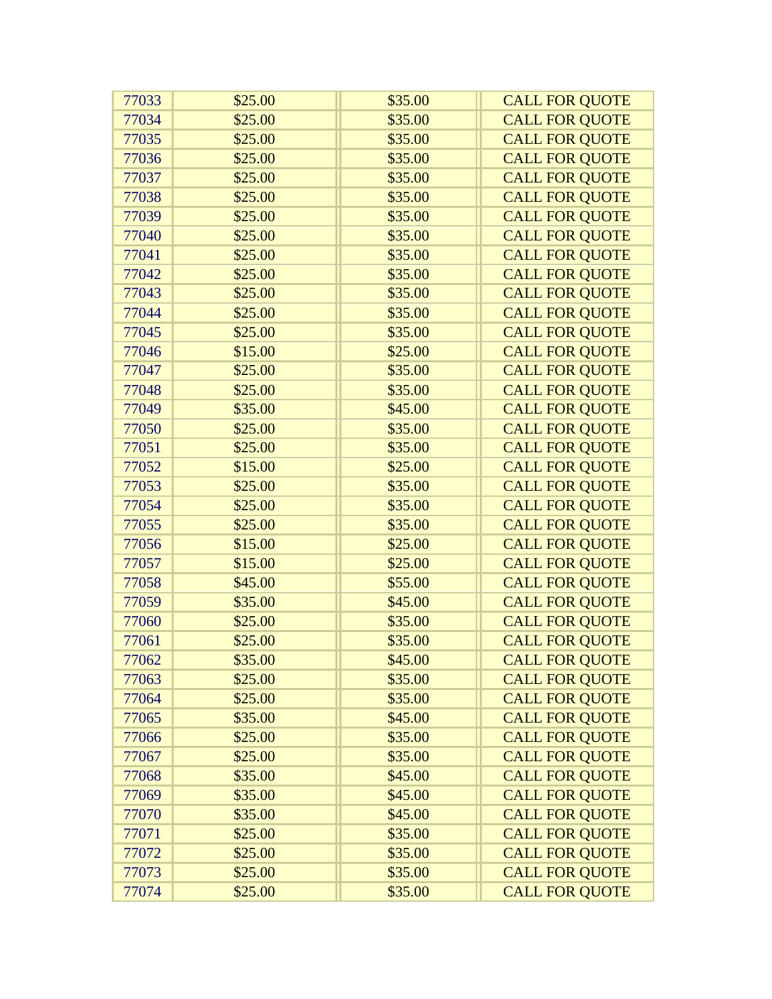| 77033 | \$25.00 | \$35.00 | <b>CALL FOR QUOTE</b> |
|-------|---------|---------|-----------------------|
| 77034 | \$25.00 | \$35.00 | <b>CALL FOR QUOTE</b> |
| 77035 | \$25.00 | \$35.00 | <b>CALL FOR QUOTE</b> |
| 77036 | \$25.00 | \$35.00 | <b>CALL FOR QUOTE</b> |
| 77037 | \$25.00 | \$35.00 | <b>CALL FOR QUOTE</b> |
| 77038 | \$25.00 | \$35.00 | <b>CALL FOR QUOTE</b> |
| 77039 | \$25.00 | \$35.00 | <b>CALL FOR QUOTE</b> |
| 77040 | \$25.00 | \$35.00 | <b>CALL FOR QUOTE</b> |
| 77041 | \$25.00 | \$35.00 | <b>CALL FOR QUOTE</b> |
| 77042 | \$25.00 | \$35.00 | <b>CALL FOR QUOTE</b> |
| 77043 | \$25.00 | \$35.00 | <b>CALL FOR QUOTE</b> |
| 77044 | \$25.00 | \$35.00 | <b>CALL FOR QUOTE</b> |
| 77045 | \$25.00 | \$35.00 | <b>CALL FOR QUOTE</b> |
| 77046 | \$15.00 | \$25.00 | <b>CALL FOR QUOTE</b> |
| 77047 | \$25.00 | \$35.00 | <b>CALL FOR QUOTE</b> |
| 77048 | \$25.00 | \$35.00 | <b>CALL FOR QUOTE</b> |
| 77049 | \$35.00 | \$45.00 | <b>CALL FOR QUOTE</b> |
| 77050 | \$25.00 | \$35.00 | <b>CALL FOR QUOTE</b> |
| 77051 | \$25.00 | \$35.00 | <b>CALL FOR QUOTE</b> |
| 77052 | \$15.00 | \$25.00 | <b>CALL FOR QUOTE</b> |
| 77053 | \$25.00 | \$35.00 | <b>CALL FOR QUOTE</b> |
| 77054 | \$25.00 | \$35.00 | <b>CALL FOR QUOTE</b> |
| 77055 | \$25.00 | \$35.00 | <b>CALL FOR QUOTE</b> |
| 77056 | \$15.00 | \$25.00 | <b>CALL FOR QUOTE</b> |
| 77057 | \$15.00 | \$25.00 | <b>CALL FOR QUOTE</b> |
| 77058 | \$45.00 | \$55.00 | <b>CALL FOR QUOTE</b> |
| 77059 | \$35.00 | \$45.00 | <b>CALL FOR QUOTE</b> |
| 77060 | \$25.00 | \$35.00 | <b>CALL FOR QUOTE</b> |
| 77061 | \$25.00 | \$35.00 | <b>CALL FOR QUOTE</b> |
| 77062 | \$35.00 | \$45.00 | <b>CALL FOR QUOTE</b> |
| 77063 | \$25.00 | \$35.00 | <b>CALL FOR QUOTE</b> |
| 77064 | \$25.00 | \$35.00 | <b>CALL FOR QUOTE</b> |
| 77065 | \$35.00 | \$45.00 | <b>CALL FOR QUOTE</b> |
| 77066 | \$25.00 | \$35.00 | <b>CALL FOR QUOTE</b> |
| 77067 | \$25.00 | \$35.00 | <b>CALL FOR QUOTE</b> |
| 77068 | \$35.00 | \$45.00 | <b>CALL FOR QUOTE</b> |
| 77069 | \$35.00 | \$45.00 | <b>CALL FOR QUOTE</b> |
| 77070 | \$35.00 | \$45.00 | <b>CALL FOR QUOTE</b> |
| 77071 | \$25.00 | \$35.00 | <b>CALL FOR QUOTE</b> |
| 77072 | \$25.00 | \$35.00 | <b>CALL FOR QUOTE</b> |
| 77073 | \$25.00 | \$35.00 | <b>CALL FOR QUOTE</b> |
| 77074 | \$25.00 | \$35.00 | <b>CALL FOR QUOTE</b> |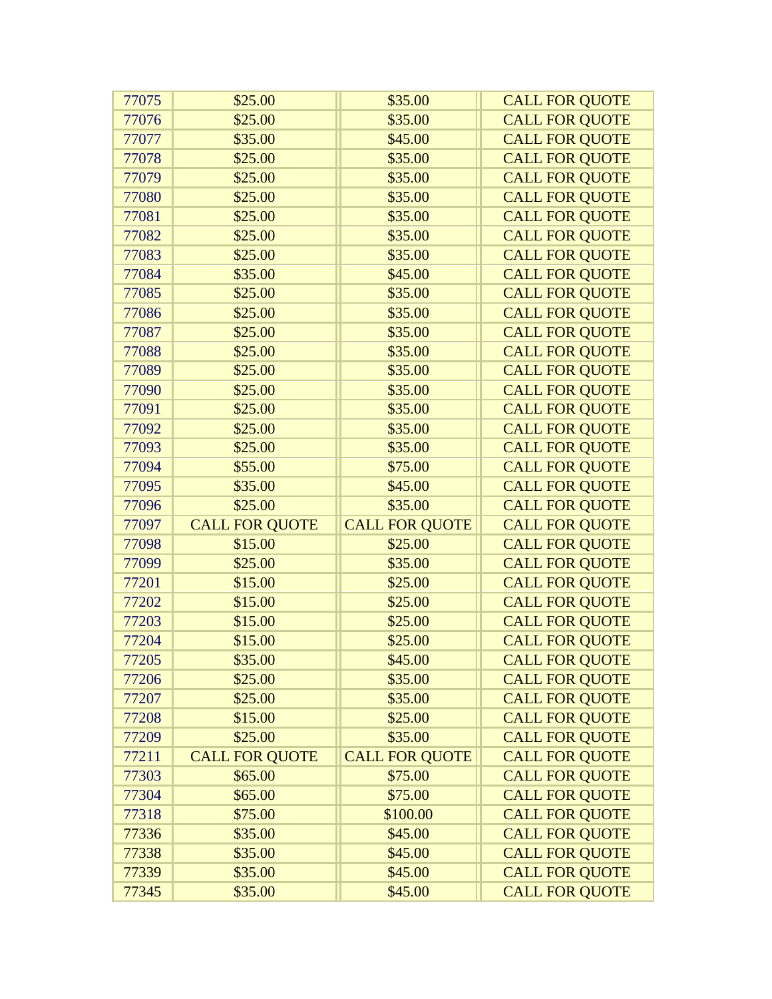| 77075 | \$25.00               | \$35.00               | <b>CALL FOR QUOTE</b> |
|-------|-----------------------|-----------------------|-----------------------|
| 77076 | \$25.00               | \$35.00               | <b>CALL FOR QUOTE</b> |
| 77077 | \$35.00               | \$45.00               | <b>CALL FOR QUOTE</b> |
| 77078 | \$25.00               | \$35.00               | <b>CALL FOR QUOTE</b> |
| 77079 | \$25.00               | \$35.00               | <b>CALL FOR QUOTE</b> |
| 77080 | \$25.00               | \$35.00               | <b>CALL FOR QUOTE</b> |
| 77081 | \$25.00               | \$35.00               | <b>CALL FOR QUOTE</b> |
| 77082 | \$25.00               | \$35.00               | <b>CALL FOR QUOTE</b> |
| 77083 | \$25.00               | \$35.00               | <b>CALL FOR QUOTE</b> |
| 77084 | \$35.00               | \$45.00               | <b>CALL FOR QUOTE</b> |
| 77085 | \$25.00               | \$35.00               | <b>CALL FOR QUOTE</b> |
| 77086 | \$25.00               | \$35.00               | <b>CALL FOR QUOTE</b> |
| 77087 | \$25.00               | \$35.00               | <b>CALL FOR QUOTE</b> |
| 77088 | \$25.00               | \$35.00               | <b>CALL FOR QUOTE</b> |
| 77089 | \$25.00               | \$35.00               | <b>CALL FOR QUOTE</b> |
| 77090 | \$25.00               | \$35.00               | <b>CALL FOR QUOTE</b> |
| 77091 | \$25.00               | \$35.00               | <b>CALL FOR QUOTE</b> |
| 77092 | \$25.00               | \$35.00               | <b>CALL FOR QUOTE</b> |
| 77093 | \$25.00               | \$35.00               | <b>CALL FOR QUOTE</b> |
| 77094 | \$55.00               | \$75.00               | <b>CALL FOR QUOTE</b> |
| 77095 | \$35.00               | \$45.00               | <b>CALL FOR QUOTE</b> |
| 77096 | \$25.00               | \$35.00               | <b>CALL FOR QUOTE</b> |
| 77097 | <b>CALL FOR QUOTE</b> | <b>CALL FOR QUOTE</b> | <b>CALL FOR QUOTE</b> |
| 77098 | \$15.00               | \$25.00               | <b>CALL FOR QUOTE</b> |
| 77099 | \$25.00               | \$35.00               | <b>CALL FOR QUOTE</b> |
| 77201 | \$15.00               | \$25.00               | <b>CALL FOR QUOTE</b> |
| 77202 | \$15.00               | \$25.00               | <b>CALL FOR QUOTE</b> |
| 77203 | \$15.00               | \$25.00               | <b>CALL FOR QUOTE</b> |
| 77204 | \$15.00               | \$25.00               | <b>CALL FOR QUOTE</b> |
| 77205 | \$35.00               | \$45.00               | <b>CALL FOR QUOTE</b> |
| 77206 | \$25.00               | \$35.00               | <b>CALL FOR QUOTE</b> |
| 77207 | \$25.00               | \$35.00               | <b>CALL FOR QUOTE</b> |
| 77208 | \$15.00               | \$25.00               | <b>CALL FOR QUOTE</b> |
| 77209 | \$25.00               | \$35.00               | <b>CALL FOR QUOTE</b> |
| 77211 | <b>CALL FOR QUOTE</b> | <b>CALL FOR QUOTE</b> | <b>CALL FOR QUOTE</b> |
| 77303 | \$65.00               | \$75.00               | <b>CALL FOR QUOTE</b> |
| 77304 | \$65.00               | \$75.00               | <b>CALL FOR QUOTE</b> |
| 77318 | \$75.00               | \$100.00              | <b>CALL FOR QUOTE</b> |
| 77336 | \$35.00               | \$45.00               | <b>CALL FOR QUOTE</b> |
| 77338 | \$35.00               | \$45.00               | <b>CALL FOR QUOTE</b> |
| 77339 | \$35.00               | \$45.00               | <b>CALL FOR QUOTE</b> |
| 77345 | \$35.00               | \$45.00               | <b>CALL FOR QUOTE</b> |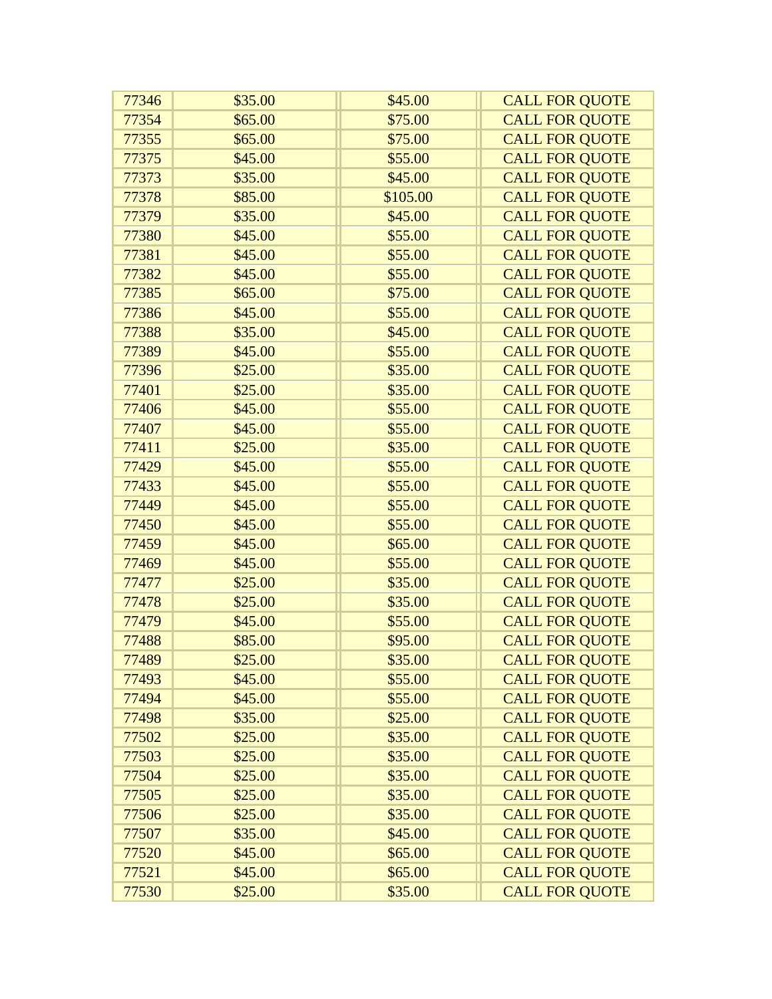| 77346 | \$35.00 | \$45.00  | <b>CALL FOR QUOTE</b> |
|-------|---------|----------|-----------------------|
| 77354 | \$65.00 | \$75.00  | <b>CALL FOR QUOTE</b> |
| 77355 | \$65.00 | \$75.00  | <b>CALL FOR QUOTE</b> |
| 77375 | \$45.00 | \$55.00  | <b>CALL FOR QUOTE</b> |
| 77373 | \$35.00 | \$45.00  | <b>CALL FOR QUOTE</b> |
| 77378 | \$85.00 | \$105.00 | <b>CALL FOR QUOTE</b> |
| 77379 | \$35.00 | \$45.00  | <b>CALL FOR QUOTE</b> |
| 77380 | \$45.00 | \$55.00  | <b>CALL FOR QUOTE</b> |
| 77381 | \$45.00 | \$55.00  | <b>CALL FOR QUOTE</b> |
| 77382 | \$45.00 | \$55.00  | <b>CALL FOR QUOTE</b> |
| 77385 | \$65.00 | \$75.00  | <b>CALL FOR QUOTE</b> |
| 77386 | \$45.00 | \$55.00  | <b>CALL FOR QUOTE</b> |
| 77388 | \$35.00 | \$45.00  | <b>CALL FOR QUOTE</b> |
| 77389 | \$45.00 | \$55.00  | <b>CALL FOR QUOTE</b> |
| 77396 | \$25.00 | \$35.00  | <b>CALL FOR QUOTE</b> |
| 77401 | \$25.00 | \$35.00  | <b>CALL FOR QUOTE</b> |
| 77406 | \$45.00 | \$55.00  | <b>CALL FOR QUOTE</b> |
| 77407 | \$45.00 | \$55.00  | <b>CALL FOR QUOTE</b> |
| 77411 | \$25.00 | \$35.00  | <b>CALL FOR QUOTE</b> |
| 77429 | \$45.00 | \$55.00  | <b>CALL FOR QUOTE</b> |
| 77433 | \$45.00 | \$55.00  | <b>CALL FOR QUOTE</b> |
| 77449 | \$45.00 | \$55.00  | <b>CALL FOR QUOTE</b> |
| 77450 | \$45.00 | \$55.00  | <b>CALL FOR QUOTE</b> |
| 77459 | \$45.00 | \$65.00  | <b>CALL FOR QUOTE</b> |
| 77469 | \$45.00 | \$55.00  | <b>CALL FOR QUOTE</b> |
| 77477 | \$25.00 | \$35.00  | <b>CALL FOR QUOTE</b> |
| 77478 | \$25.00 | \$35.00  | <b>CALL FOR QUOTE</b> |
| 77479 | \$45.00 | \$55.00  | <b>CALL FOR QUOTE</b> |
| 77488 | \$85.00 | \$95.00  | <b>CALL FOR QUOTE</b> |
| 77489 | \$25.00 | \$35.00  | <b>CALL FOR QUOTE</b> |
| 77493 | \$45.00 | \$55.00  | <b>CALL FOR QUOTE</b> |
| 77494 | \$45.00 | \$55.00  | <b>CALL FOR QUOTE</b> |
| 77498 | \$35.00 | \$25.00  | <b>CALL FOR QUOTE</b> |
| 77502 | \$25.00 | \$35.00  | <b>CALL FOR QUOTE</b> |
| 77503 | \$25.00 | \$35.00  | <b>CALL FOR QUOTE</b> |
| 77504 | \$25.00 | \$35.00  | <b>CALL FOR QUOTE</b> |
| 77505 | \$25.00 | \$35.00  | <b>CALL FOR QUOTE</b> |
| 77506 | \$25.00 | \$35.00  | <b>CALL FOR QUOTE</b> |
| 77507 | \$35.00 | \$45.00  | <b>CALL FOR QUOTE</b> |
| 77520 | \$45.00 | \$65.00  | <b>CALL FOR QUOTE</b> |
| 77521 | \$45.00 | \$65.00  | <b>CALL FOR QUOTE</b> |
| 77530 | \$25.00 | \$35.00  | <b>CALL FOR QUOTE</b> |